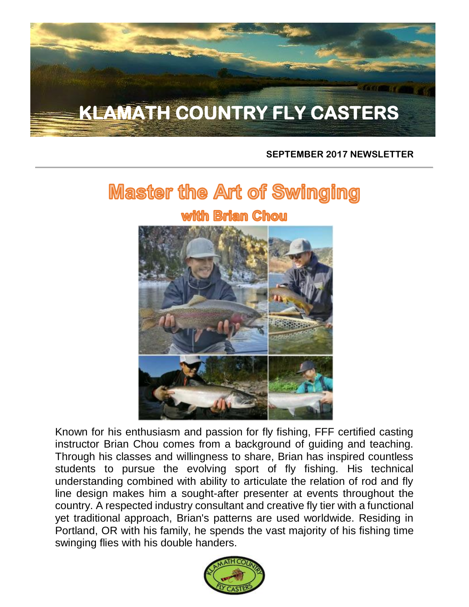

#### **SEPTEMBER 2017 NEWSLETTER**

# **Master the Art of Swinging** wilith Briam Chou



Known for his enthusiasm and passion for fly fishing, FFF certified casting instructor Brian Chou comes from a background of guiding and teaching. Through his classes and willingness to share, Brian has inspired countless students to pursue the evolving sport of fly fishing. His technical understanding combined with ability to articulate the relation of rod and fly line design makes him a sought-after presenter at events throughout the country. A respected industry consultant and creative fly tier with a functional yet traditional approach, Brian's patterns are used worldwide. Residing in Portland, OR with his family, he spends the vast majority of his fishing time swinging flies with his double handers.

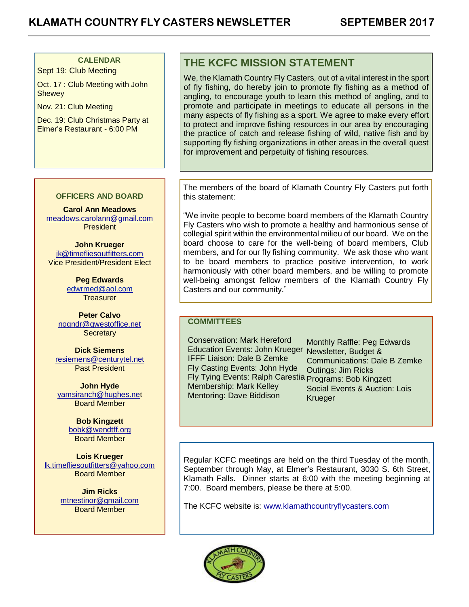#### **CALENDAR**

Sept 19: Club Meeting

Oct. 17 : Club Meeting with John **Shewey** 

Nov. 21: Club Meeting

Dec. 19: Club Christmas Party at Elmer's Restaurant - 6:00 PM

**Carol Ann Meadows** [meadows.carolann@gmail.com](http://meadows.carolann@gmail.com/) President

**OFFICERS AND BOARD**

**John Krueger** [jk@timefliesoutfitters.com](http://jk@timefliesoutfitters.com/) Vice President/President Elect

> **Peg Edwards** [edwrmed@aol.com](mailto:edwrmed@aol.com) **Treasurer**

**Peter Calvo** [nogndr@qwestoffice.net](mailto:nogndr@qwestoffice.net) **Secretary** 

**Dick Siemens** [resiemens@centurytel.net](mailto:resiemens@centurytel.net) Past President

**John Hyde** [yamsiranch@hughes.net](mailto:yamsiranch@hughes.ne) Board Member

> **Bob Kingzett** [bobk@wendtff.org](mailto:bobk@jeld-wen.com) Board Member

**Lois Krueger** [lk.timefliesoutfitters@yahoo.com](mailto:lk.timefliesoutfitters@yahoo.com) Board Member

> **Jim Ricks** [mtnestinor@gmail.com](mailto:mtnestinor@gmail.com) Board Member

#### **THE KCFC MISSION STATEMENT**

We, the Klamath Country Fly Casters, out of a vital interest in the sport of fly fishing, do hereby join to promote fly fishing as a method of angling, to encourage youth to learn this method of angling, and to promote and participate in meetings to educate all persons in the many aspects of fly fishing as a sport. We agree to make every effort to protect and improve fishing resources in our area by encouraging the practice of catch and release fishing of wild, native fish and by supporting fly fishing organizations in other areas in the overall quest for improvement and perpetuity of fishing resources.

The members of the board of Klamath Country Fly Casters put forth this statement:

"We invite people to become board members of the Klamath Country Fly Casters who wish to promote a healthy and harmonious sense of collegial spirit within the environmental milieu of our board. We on the board choose to care for the well-being of board members, Club members, and for our fly fishing community. We ask those who want to be board members to practice positive intervention, to work harmoniously with other board members, and be willing to promote well-being amongst fellow members of the Klamath Country Fly Casters and our community."

#### **COMMITTEES**

Education Events: John Krueger Newsletter, Budget & Fly Tying Events: Ralph Carestia Programs: Bob Kingzett Conservation: Mark Hereford IFFF Liaison: Dale B Zemke Fly Casting Events: John Hyde Membership: Mark Kelley Mentoring: Dave Biddison

Monthly Raffle: Peg Edwards Communications: Dale B Zemke Outings: Jim Ricks Social Events & Auction: Lois **Krueger** 

Regular KCFC meetings are held on the third Tuesday of the month, September through May, at Elmer's Restaurant, 3030 S. 6th Street, Klamath Falls. Dinner starts at 6:00 with the meeting beginning at 7:00. Board members, please be there at 5:00.

The KCFC website is: [www.klamathcountryflycasters.com](http://www.klamathcountryflycasters.com/)

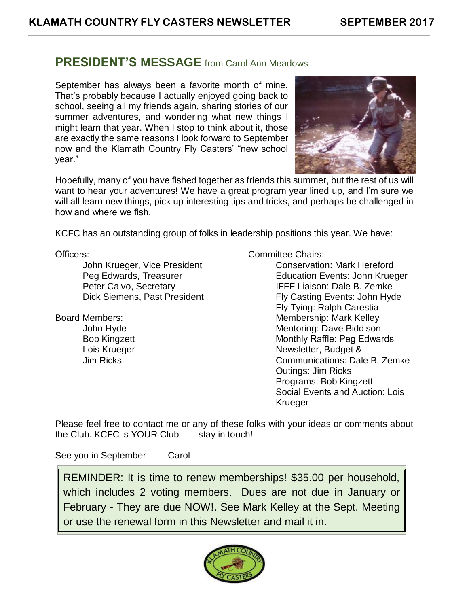### **PRESIDENT'S MESSAGE** from Carol Ann Meadows

September has always been a favorite month of mine. That's probably because I actually enjoyed going back to school, seeing all my friends again, sharing stories of our summer adventures, and wondering what new things I might learn that year. When I stop to think about it, those are exactly the same reasons I look forward to September now and the Klamath Country Fly Casters' "new school year."



Hopefully, many of you have fished together as friends this summer, but the rest of us will want to hear your adventures! We have a great program year lined up, and I'm sure we will all learn new things, pick up interesting tips and tricks, and perhaps be challenged in how and where we fish.

KCFC has an outstanding group of folks in leadership positions this year. We have:

Officers:

John Krueger, Vice President Peg Edwards, Treasurer Peter Calvo, Secretary Dick Siemens, Past President

Board Members:

John Hyde Bob Kingzett Lois Krueger Jim Ricks

Committee Chairs:

Conservation: Mark Hereford Education Events: John Krueger IFFF Liaison: Dale B. Zemke Fly Casting Events: John Hyde Fly Tying: Ralph Carestia Membership: Mark Kelley Mentoring: Dave Biddison Monthly Raffle: Peg Edwards Newsletter, Budget & Communications: Dale B. Zemke Outings: Jim Ricks Programs: Bob Kingzett Social Events and Auction: Lois Krueger

Please feel free to contact me or any of these folks with your ideas or comments about the Club. KCFC is YOUR Club - - - stay in touch!

See you in September - - - Carol

REMINDER: It is time to renew memberships! \$35.00 per household, which includes 2 voting members. Dues are not due in January or February - They are due NOW!. See Mark Kelley at the Sept. Meeting or use the renewal form in this Newsletter and mail it in.

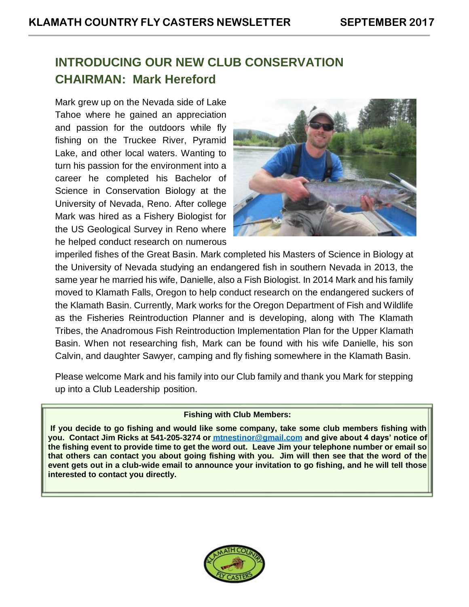## **INTRODUCING OUR NEW CLUB CONSERVATION CHAIRMAN: Mark Hereford**

Mark grew up on the Nevada side of Lake Tahoe where he gained an appreciation and passion for the outdoors while fly fishing on the Truckee River, Pyramid Lake, and other local waters. Wanting to turn his passion for the environment into a career he completed his Bachelor of Science in Conservation Biology at the University of Nevada, Reno. After college Mark was hired as a Fishery Biologist for the US Geological Survey in Reno where he helped conduct research on numerous



imperiled fishes of the Great Basin. Mark completed his Masters of Science in Biology at the University of Nevada studying an endangered fish in southern Nevada in 2013, the same year he married his wife, Danielle, also a Fish Biologist. In 2014 Mark and his family moved to Klamath Falls, Oregon to help conduct research on the endangered suckers of the Klamath Basin. Currently, Mark works for the Oregon Department of Fish and Wildlife as the Fisheries Reintroduction Planner and is developing, along with The Klamath Tribes, the Anadromous Fish Reintroduction Implementation Plan for the Upper Klamath Basin. When not researching fish, Mark can be found with his wife Danielle, his son Calvin, and daughter Sawyer, camping and fly fishing somewhere in the Klamath Basin.

Please welcome Mark and his family into our Club family and thank you Mark for stepping up into a Club Leadership position.

#### **Fishing with Club Members:**

**If you decide to go fishing and would like some company, take some club members fishing with you. Contact Jim Ricks at 541-205-3274 or [mtnestinor@gmail.com](mailto:mtnestinor@gmail.com) and give about 4 days' notice of the fishing event to provide time to get the word out. Leave Jim your telephone number or email so that others can contact you about going fishing with you. Jim will then see that the word of the event gets out in a club-wide email to announce your invitation to go fishing, and he will tell those interested to contact you directly.**

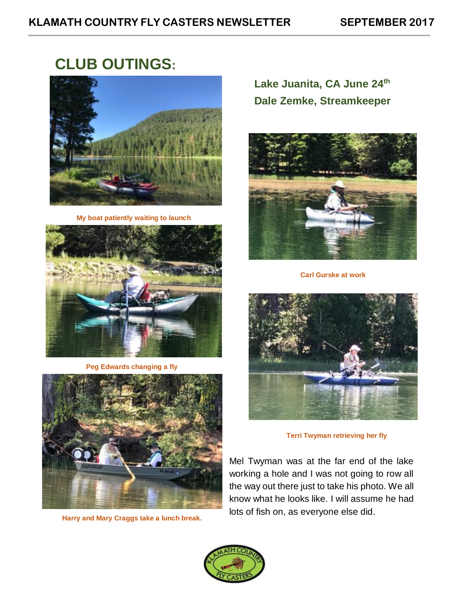# **CLUB OUTINGS:**



**My boat patiently waiting to launch**



**Peg Edwards changing a fly**



**Harry and Mary Craggs take a lunch break.**

**Lake Juanita, CA June 24th Dale Zemke, Streamkeeper**



**Carl Gurske at work**



**Terri Twyman retrieving her fly**

Mel Twyman was at the far end of the lake working a hole and I was not going to row all the way out there just to take his photo. We all know what he looks like. I will assume he had lots of fish on, as everyone else did.

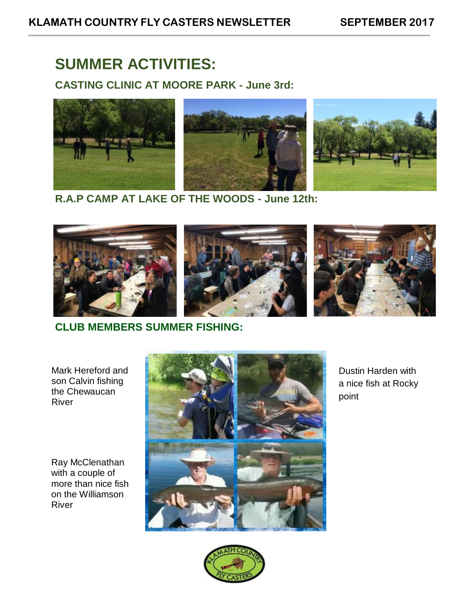# **SUMMER ACTIVITIES:**

**CASTING CLINIC AT MOORE PARK - June 3rd:**



**R.A.P CAMP AT LAKE OF THE WOODS - June 12th:**



**CLUB MEMBERS SUMMER FISHING:**

Mark Hereford and son Calvin fishing the Chewaucan River

Ray McClenathan with a couple of more than nice fish on the Williamson River



Dustin Harden with a nice fish at Rocky point